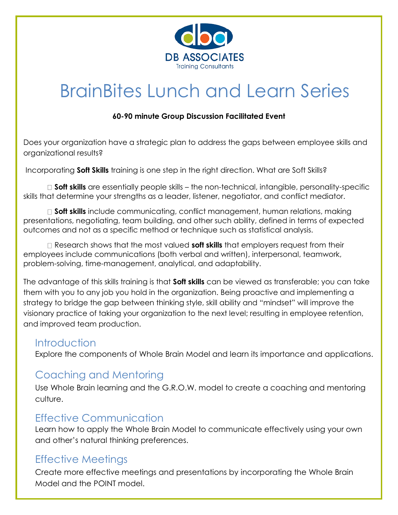

# BrainBites Lunch and Learn Series

#### **60-90 minute Group Discussion Facilitated Event**

Does your organization have a strategic plan to address the gaps between employee skills and organizational results?

Incorporating **Soft Skills** training is one step in the right direction. What are Soft Skills?

**Soft skills** are essentially people skills – the non-technical, intangible, personality-specific skills that determine your strengths as a leader, listener, negotiator, and conflict mediator.

**Soft skills** include communicating, conflict management, human relations, making presentations, negotiating, team building, and other such ability, defined in terms of expected outcomes and not as a specific method or technique such as statistical analysis.

Research shows that the most valued **soft skills** that employers request from their employees include communications (both verbal and written), interpersonal, teamwork, problem-solving, time-management, analytical, and adaptability.

The advantage of this skills training is that **Soft skills** can be viewed as transferable; you can take them with you to any job you hold in the organization. Being proactive and implementing a strategy to bridge the gap between thinking style, skill ability and "mindset" will improve the visionary practice of taking your organization to the next level; resulting in employee retention, and improved team production.

#### **Introduction**

Explore the components of Whole Brain Model and learn its importance and applications.

## Coaching and Mentoring

Use Whole Brain learning and the G.R.O.W. model to create a coaching and mentoring culture.

#### Effective Communication

Learn how to apply the Whole Brain Model to communicate effectively using your own and other's natural thinking preferences.

## Effective Meetings

Create more effective meetings and presentations by incorporating the Whole Brain Model and the POINT model.